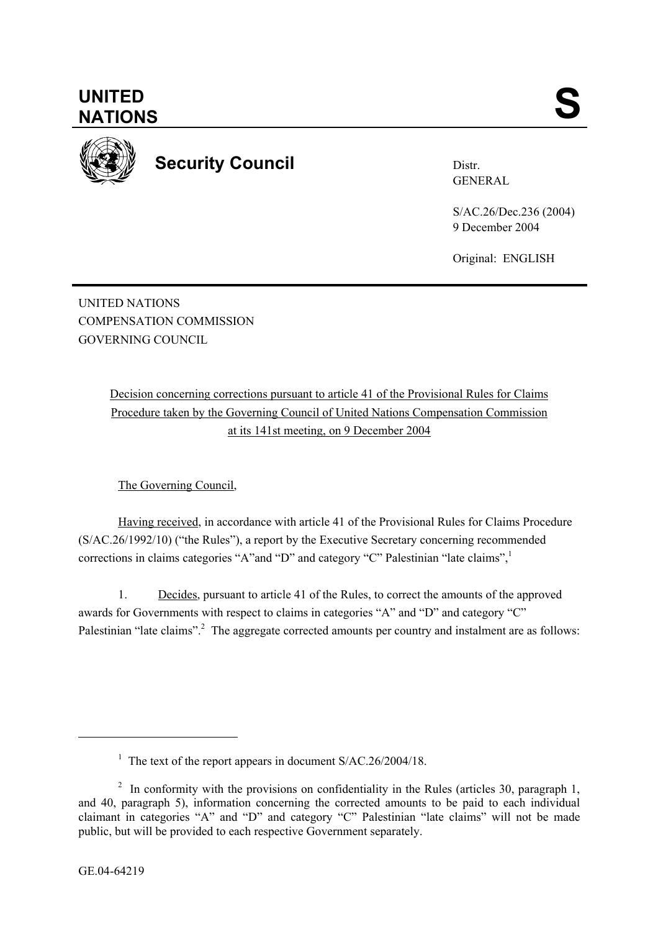

**Security Council** 

Distr. GENERAL

S/AC.26/Dec.236 (2004) 9 December 2004

Original: ENGLISH

UNITED NATIONS COMPENSATION COMMISSION GOVERNING COUNCIL

> Decision concerning corrections pursuant to article 41 of the Provisional Rules for Claims Procedure taken by the Governing Council of United Nations Compensation Commission at its 141st meeting, on 9 December 2004

The Governing Council,

Having received, in accordance with article 41 of the Provisional Rules for Claims Procedure (S/AC.26/1992/10) ("the Rules"), a report by the Executive Secretary concerning recommended corrections in claims categories "A"and "D" and category "C" Palestinian "late claims",

1. Decides, pursuant to article 41 of the Rules, to correct the amounts of the approved awards for Governments with respect to claims in categories "A" and "D" and category "C" Palestinian "late claims".<sup>2</sup> The aggregate corrected amounts per country and instalment are as follows:

l

<sup>&</sup>lt;sup>1</sup> The text of the report appears in document S/AC.26/2004/18.

<sup>&</sup>lt;sup>2</sup> In conformity with the provisions on confidentiality in the Rules (articles 30, paragraph 1, and 40, paragraph 5), information concerning the corrected amounts to be paid to each individual claimant in categories "A" and "D" and category "C" Palestinian "late claims" will not be made public, but will be provided to each respective Government separately.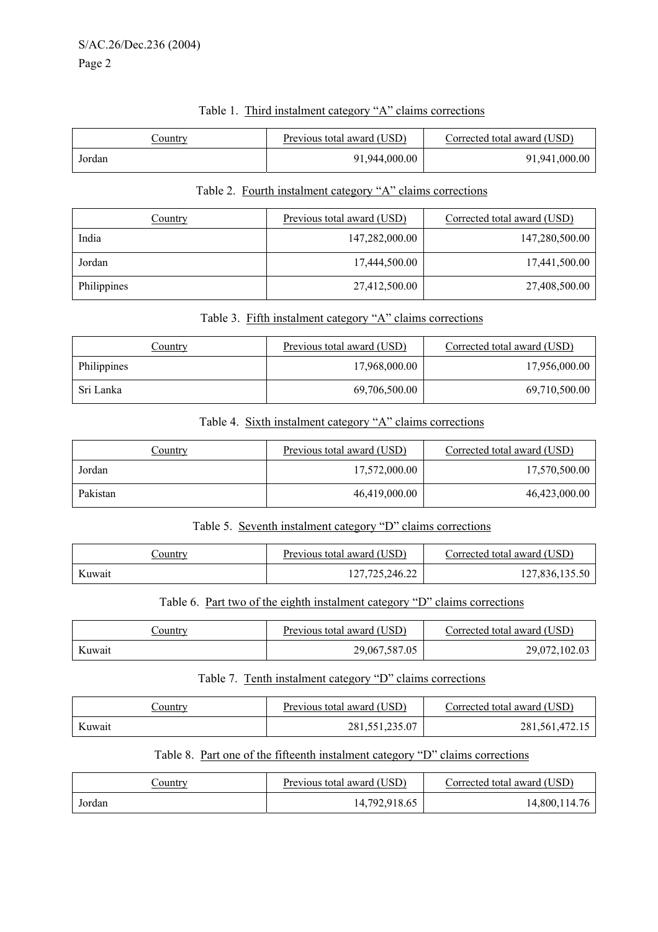| Country | Previous total award (USD) | Corrected total award (USD) |
|---------|----------------------------|-----------------------------|
| Jordan  | 91,944,000.00              | 91,941,000.00               |

## Table 1. Third instalment category "A" claims corrections

## Table 2. Fourth instalment category "A" claims corrections

| Country     | Previous total award (USD) | Corrected total award (USD) |
|-------------|----------------------------|-----------------------------|
| India       | 147,282,000.00             | 147,280,500.00              |
| Jordan      | 17,444,500.00              | 17,441,500.00               |
| Philippines | 27,412,500.00              | 27,408,500.00               |

## Table 3. Fifth instalment category "A" claims corrections

| Country     | Previous total award (USD) | Corrected total award (USD) |
|-------------|----------------------------|-----------------------------|
| Philippines | 17,968,000.00              | 17,956,000.00               |
| Sri Lanka   | 69,706,500.00              | 69,710,500.00               |

## Table 4. Sixth instalment category "A" claims corrections

| Country  | Previous total award (USD) | Corrected total award (USD) |
|----------|----------------------------|-----------------------------|
| Jordan   | 17,572,000.00              | 17,570,500.00               |
| Pakistan | 46,419,000.00              | 46,423,000.00               |

## Table 5. Seventh instalment category "D" claims corrections

| Jountry | Previous total award (USD) | Corrected total award (USD) |
|---------|----------------------------|-----------------------------|
| Kuwait  | 127,725,246.22             | 127,836,135.50              |

# Table 6. Part two of the eighth instalment category "D" claims corrections

| Country | Previous total award (USD) | Corrected total award (USD) |
|---------|----------------------------|-----------------------------|
| Kuwait  | 29,067,587.05              | 29,072,102.03               |

## Table 7. Tenth instalment category "D" claims corrections

| <u>Jountry</u> | Previous total award (USD) | Corrected total award (USD) |
|----------------|----------------------------|-----------------------------|
| Kuwait         | 281,551,235.07             | 281, 561, 472. 15           |

# Table 8. Part one of the fifteenth instalment category "D" claims corrections

| ountry | Previous total award (USD) | Corrected total award (USD) |
|--------|----------------------------|-----------------------------|
| Jordan | 14,792,918.65              | 14,800,114.76               |